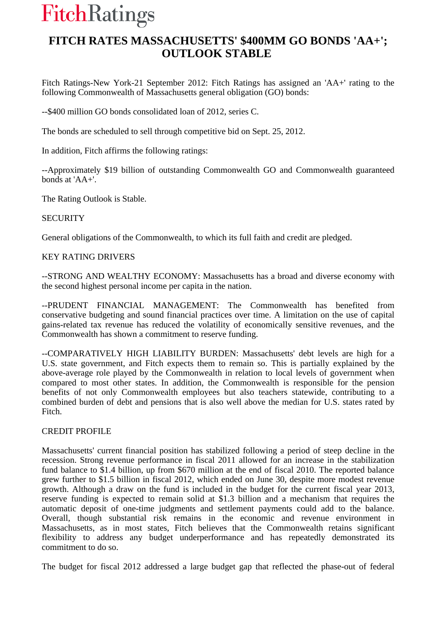# **FitchRatings**

## **FITCH RATES MASSACHUSETTS' \$400MM GO BONDS 'AA+'; OUTLOOK STABLE**

Fitch Ratings-New York-21 September 2012: Fitch Ratings has assigned an 'AA+' rating to the following Commonwealth of Massachusetts general obligation (GO) bonds:

--\$400 million GO bonds consolidated loan of 2012, series C.

The bonds are scheduled to sell through competitive bid on Sept. 25, 2012.

In addition, Fitch affirms the following ratings:

--Approximately \$19 billion of outstanding Commonwealth GO and Commonwealth guaranteed bonds at 'AA+'.

The Rating Outlook is Stable.

#### **SECURITY**

General obligations of the Commonwealth, to which its full faith and credit are pledged.

### KEY RATING DRIVERS

--STRONG AND WEALTHY ECONOMY: Massachusetts has a broad and diverse economy with the second highest personal income per capita in the nation.

--PRUDENT FINANCIAL MANAGEMENT: The Commonwealth has benefited from conservative budgeting and sound financial practices over time. A limitation on the use of capital gains-related tax revenue has reduced the volatility of economically sensitive revenues, and the Commonwealth has shown a commitment to reserve funding.

--COMPARATIVELY HIGH LIABILITY BURDEN: Massachusetts' debt levels are high for a U.S. state government, and Fitch expects them to remain so. This is partially explained by the above-average role played by the Commonwealth in relation to local levels of government when compared to most other states. In addition, the Commonwealth is responsible for the pension benefits of not only Commonwealth employees but also teachers statewide, contributing to a combined burden of debt and pensions that is also well above the median for U.S. states rated by Fitch.

#### CREDIT PROFILE

Massachusetts' current financial position has stabilized following a period of steep decline in the recession. Strong revenue performance in fiscal 2011 allowed for an increase in the stabilization fund balance to \$1.4 billion, up from \$670 million at the end of fiscal 2010. The reported balance grew further to \$1.5 billion in fiscal 2012, which ended on June 30, despite more modest revenue growth. Although a draw on the fund is included in the budget for the current fiscal year 2013, reserve funding is expected to remain solid at \$1.3 billion and a mechanism that requires the automatic deposit of one-time judgments and settlement payments could add to the balance. Overall, though substantial risk remains in the economic and revenue environment in Massachusetts, as in most states, Fitch believes that the Commonwealth retains significant flexibility to address any budget underperformance and has repeatedly demonstrated its commitment to do so.

The budget for fiscal 2012 addressed a large budget gap that reflected the phase-out of federal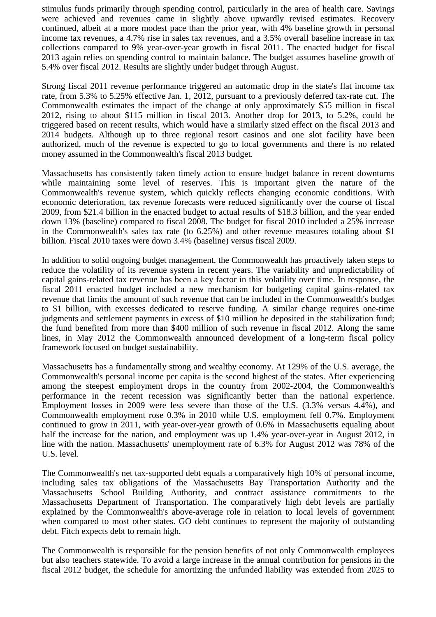stimulus funds primarily through spending control, particularly in the area of health care. Savings were achieved and revenues came in slightly above upwardly revised estimates. Recovery continued, albeit at a more modest pace than the prior year, with 4% baseline growth in personal income tax revenues, a 4.7% rise in sales tax revenues, and a 3.5% overall baseline increase in tax collections compared to 9% year-over-year growth in fiscal 2011. The enacted budget for fiscal 2013 again relies on spending control to maintain balance. The budget assumes baseline growth of 5.4% over fiscal 2012. Results are slightly under budget through August.

Strong fiscal 2011 revenue performance triggered an automatic drop in the state's flat income tax rate, from 5.3% to 5.25% effective Jan. 1, 2012, pursuant to a previously deferred tax-rate cut. The Commonwealth estimates the impact of the change at only approximately \$55 million in fiscal 2012, rising to about \$115 million in fiscal 2013. Another drop for 2013, to 5.2%, could be triggered based on recent results, which would have a similarly sized effect on the fiscal 2013 and 2014 budgets. Although up to three regional resort casinos and one slot facility have been authorized, much of the revenue is expected to go to local governments and there is no related money assumed in the Commonwealth's fiscal 2013 budget.

Massachusetts has consistently taken timely action to ensure budget balance in recent downturns while maintaining some level of reserves. This is important given the nature of the Commonwealth's revenue system, which quickly reflects changing economic conditions. With economic deterioration, tax revenue forecasts were reduced significantly over the course of fiscal 2009, from \$21.4 billion in the enacted budget to actual results of \$18.3 billion, and the year ended down 13% (baseline) compared to fiscal 2008. The budget for fiscal 2010 included a 25% increase in the Commonwealth's sales tax rate (to 6.25%) and other revenue measures totaling about \$1 billion. Fiscal 2010 taxes were down 3.4% (baseline) versus fiscal 2009.

In addition to solid ongoing budget management, the Commonwealth has proactively taken steps to reduce the volatility of its revenue system in recent years. The variability and unpredictability of capital gains-related tax revenue has been a key factor in this volatility over time. In response, the fiscal 2011 enacted budget included a new mechanism for budgeting capital gains-related tax revenue that limits the amount of such revenue that can be included in the Commonwealth's budget to \$1 billion, with excesses dedicated to reserve funding. A similar change requires one-time judgments and settlement payments in excess of \$10 million be deposited in the stabilization fund; the fund benefited from more than \$400 million of such revenue in fiscal 2012. Along the same lines, in May 2012 the Commonwealth announced development of a long-term fiscal policy framework focused on budget sustainability.

Massachusetts has a fundamentally strong and wealthy economy. At 129% of the U.S. average, the Commonwealth's personal income per capita is the second highest of the states. After experiencing among the steepest employment drops in the country from 2002-2004, the Commonwealth's performance in the recent recession was significantly better than the national experience. Employment losses in 2009 were less severe than those of the U.S. (3.3% versus 4.4%), and Commonwealth employment rose 0.3% in 2010 while U.S. employment fell 0.7%. Employment continued to grow in 2011, with year-over-year growth of 0.6% in Massachusetts equaling about half the increase for the nation, and employment was up 1.4% year-over-year in August 2012, in line with the nation. Massachusetts' unemployment rate of 6.3% for August 2012 was 78% of the U.S. level.

The Commonwealth's net tax-supported debt equals a comparatively high 10% of personal income, including sales tax obligations of the Massachusetts Bay Transportation Authority and the Massachusetts School Building Authority, and contract assistance commitments to the Massachusetts Department of Transportation. The comparatively high debt levels are partially explained by the Commonwealth's above-average role in relation to local levels of government when compared to most other states. GO debt continues to represent the majority of outstanding debt. Fitch expects debt to remain high.

The Commonwealth is responsible for the pension benefits of not only Commonwealth employees but also teachers statewide. To avoid a large increase in the annual contribution for pensions in the fiscal 2012 budget, the schedule for amortizing the unfunded liability was extended from 2025 to